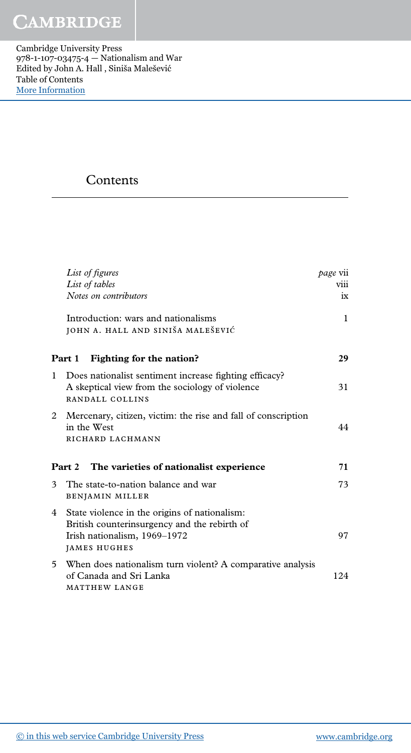Cambridge University Press 978-1-107-03475-4 — Nationalism and War Edited by John A. Hall , Siniša Malešević Table of Contents [More Information](www.cambridge.org/9781107034754)

## **Contents**

|              | List of figures<br>List of tables<br>Notes on contributors                                                                                           | <i>page</i> vii<br>viii<br>$ix =$ |
|--------------|------------------------------------------------------------------------------------------------------------------------------------------------------|-----------------------------------|
|              | Introduction: wars and nationalisms<br>JOHN A. HALL AND SINIŠA MALEŠEVIĆ                                                                             | $\mathbf{1}$                      |
|              | Part 1 Fighting for the nation?                                                                                                                      | 29                                |
| $\mathbf{1}$ | Does nationalist sentiment increase fighting efficacy?<br>A skeptical view from the sociology of violence<br>RANDALL COLLINS                         | 31                                |
|              | 2 Mercenary, citizen, victim: the rise and fall of conscription<br>in the West<br>RICHARD LACHMANN                                                   | 44                                |
|              | <b>Part 2</b><br>The varieties of nationalist experience                                                                                             | 71                                |
| 3            | The state-to-nation balance and war<br><b>BENJAMIN MILLER</b>                                                                                        | 73                                |
| 4            | State violence in the origins of nationalism:<br>British counterinsurgency and the rebirth of<br>Irish nationalism, 1969-1972<br><b>JAMES HUGHES</b> | 97                                |
| 5.           | When does nationalism turn violent? A comparative analysis<br>of Canada and Sri Lanka<br>MATTHEW LANGE                                               | 124                               |